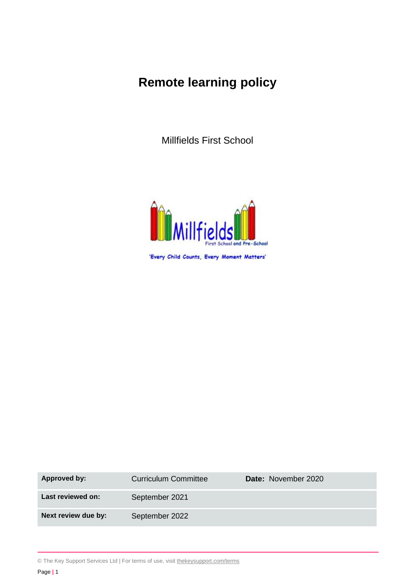# **Remote learning policy**

Millfields First School



'Every Child Counts, Every Moment Matters'

| <b>Approved by:</b> | <b>Curriculum Committee</b> | Date: November 2020 |
|---------------------|-----------------------------|---------------------|
| Last reviewed on:   | September 2021              |                     |
| Next review due by: | September 2022              |                     |

© The Key Support Services Ltd | For terms of use, visit [thekeysupport.com/terms](https://thekeysupport.com/terms-of-use)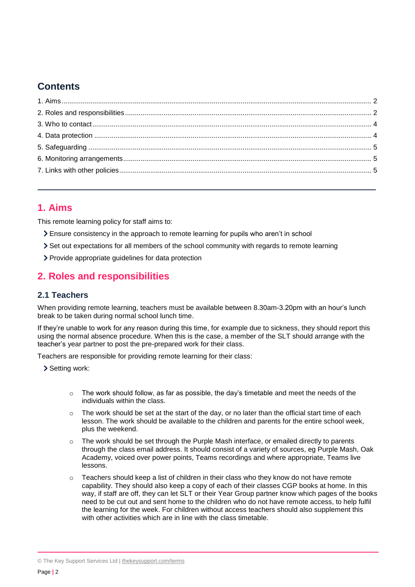# **Contents**

# <span id="page-1-0"></span>**1. Aims**

This remote learning policy for staff aims to:

- Ensure consistency in the approach to remote learning for pupils who aren't in school
- Set out expectations for all members of the school community with regards to remote learning
- Provide appropriate guidelines for data protection

# <span id="page-1-1"></span>**2. Roles and responsibilities**

#### **2.1 Teachers**

When providing remote learning, teachers must be available between 8.30am-3.20pm with an hour's lunch break to be taken during normal school lunch time.

If they're unable to work for any reason during this time, for example due to sickness, they should report this using the normal absence procedure. When this is the case, a member of the SLT should arrange with the teacher's year partner to post the pre-prepared work for their class.

Teachers are responsible for providing remote learning for their class:

> Setting work:

- $\circ$  The work should follow, as far as possible, the day's timetable and meet the needs of the individuals within the class.
- $\circ$  The work should be set at the start of the day, or no later than the official start time of each lesson. The work should be available to the children and parents for the entire school week, plus the weekend.
- $\circ$  The work should be set through the Purple Mash interface, or emailed directly to parents through the class email address. It should consist of a variety of sources, eg Purple Mash, Oak Academy, voiced over power points, Teams recordings and where appropriate, Teams live lessons.
- $\circ$  Teachers should keep a list of children in their class who they know do not have remote capability. They should also keep a copy of each of their classes CGP books at home. In this way, if staff are off, they can let SLT or their Year Group partner know which pages of the books need to be cut out and sent home to the children who do not have remote access, to help fulfil the learning for the week. For children without access teachers should also supplement this with other activities which are in line with the class timetable.

© The Key Support Services Ltd | [thekeysupport.com/terms](https://thekeysupport.com/terms-of-use)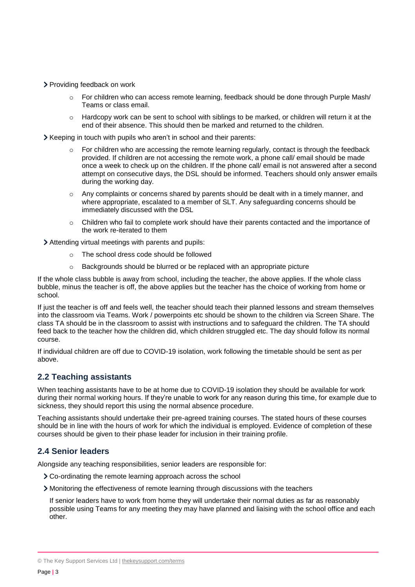- > Providing feedback on work
	- $\circ$  For children who can access remote learning, feedback should be done through Purple Mash/ Teams or class email.
	- $\circ$  Hardcopy work can be sent to school with siblings to be marked, or children will return it at the end of their absence. This should then be marked and returned to the children.
- Xeeping in touch with pupils who aren't in school and their parents:
	- $\circ$  For children who are accessing the remote learning regularly, contact is through the feedback provided. If children are not accessing the remote work, a phone call/ email should be made once a week to check up on the children. If the phone call/ email is not answered after a second attempt on consecutive days, the DSL should be informed. Teachers should only answer emails during the working day.
	- o Any complaints or concerns shared by parents should be dealt with in a timely manner, and where appropriate, escalated to a member of SLT. Any safeguarding concerns should be immediately discussed with the DSL
	- o Children who fail to complete work should have their parents contacted and the importance of the work re-iterated to them

Attending virtual meetings with parents and pupils:

- o The school dress code should be followed
- o Backgrounds should be blurred or be replaced with an appropriate picture

If the whole class bubble is away from school, including the teacher, the above applies. If the whole class bubble, minus the teacher is off, the above applies but the teacher has the choice of working from home or school.

If just the teacher is off and feels well, the teacher should teach their planned lessons and stream themselves into the classroom via Teams. Work / powerpoints etc should be shown to the children via Screen Share. The class TA should be in the classroom to assist with instructions and to safeguard the children. The TA should feed back to the teacher how the children did, which children struggled etc. The day should follow its normal course.

If individual children are off due to COVID-19 isolation, work following the timetable should be sent as per above.

#### **2.2 Teaching assistants**

When teaching assistants have to be at home due to COVID-19 isolation they should be available for work during their normal working hours. If they're unable to work for any reason during this time, for example due to sickness, they should report this using the normal absence procedure.

Teaching assistants should undertake their pre-agreed training courses. The stated hours of these courses should be in line with the hours of work for which the individual is employed. Evidence of completion of these courses should be given to their phase leader for inclusion in their training profile.

#### **2.4 Senior leaders**

Alongside any teaching responsibilities, senior leaders are responsible for:

- Co-ordinating the remote learning approach across the school
- Monitoring the effectiveness of remote learning through discussions with the teachers

If senior leaders have to work from home they will undertake their normal duties as far as reasonably possible using Teams for any meeting they may have planned and liaising with the school office and each other.

<sup>©</sup> The Key Support Services Ltd | [thekeysupport.com/terms](https://thekeysupport.com/terms-of-use)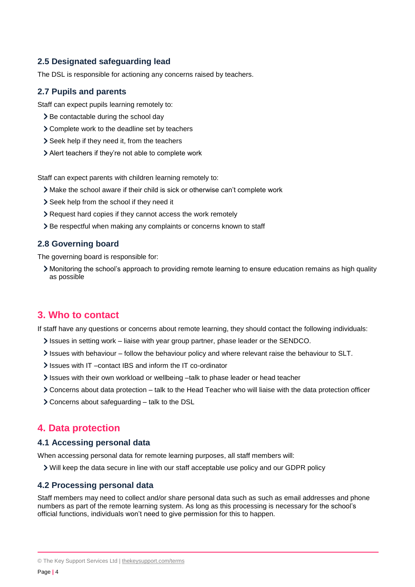#### **2.5 Designated safeguarding lead**

The DSL is responsible for actioning any concerns raised by teachers.

#### **2.7 Pupils and parents**

Staff can expect pupils learning remotely to:

- > Be contactable during the school day
- Complete work to the deadline set by teachers
- > Seek help if they need it, from the teachers
- Alert teachers if they're not able to complete work

Staff can expect parents with children learning remotely to:

- Make the school aware if their child is sick or otherwise can't complete work
- > Seek help from the school if they need it
- Request hard copies if they cannot access the work remotely
- > Be respectful when making any complaints or concerns known to staff

#### **2.8 Governing board**

The governing board is responsible for:

Monitoring the school's approach to providing remote learning to ensure education remains as high quality as possible

## <span id="page-3-0"></span>**3. Who to contact**

If staff have any questions or concerns about remote learning, they should contact the following individuals:

- Issues in setting work liaise with year group partner, phase leader or the SENDCO.
- Issues with behaviour follow the behaviour policy and where relevant raise the behaviour to SLT.
- Issues with IT –contact IBS and inform the IT co-ordinator
- Issues with their own workload or wellbeing -talk to phase leader or head teacher
- Concerns about data protection talk to the Head Teacher who will liaise with the data protection officer
- Concerns about safeguarding talk to the DSL

## <span id="page-3-1"></span>**4. Data protection**

#### **4.1 Accessing personal data**

When accessing personal data for remote learning purposes, all staff members will:

Will keep the data secure in line with our staff acceptable use policy and our GDPR policy

#### **4.2 Processing personal data**

Staff members may need to collect and/or share personal data such as such as email addresses and phone numbers as part of the remote learning system. As long as this processing is necessary for the school's official functions, individuals won't need to give permission for this to happen.

<sup>©</sup> The Key Support Services Ltd | [thekeysupport.com/terms](https://thekeysupport.com/terms-of-use)